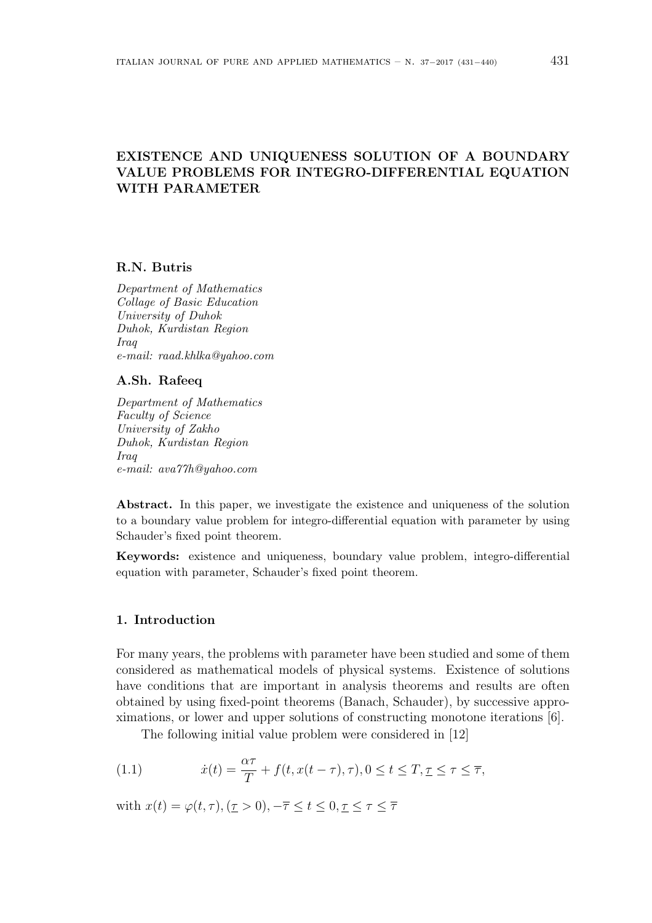# **EXISTENCE AND UNIQUENESS SOLUTION OF A BOUNDARY VALUE PROBLEMS FOR INTEGRO-DIFFERENTIAL EQUATION WITH PARAMETER**

#### **R.N. Butris**

*Department of Mathematics Collage of Basic Education University of Duhok Duhok, Kurdistan Region Iraq e-mail: raad.khlka@yahoo.com*

### **A.Sh. Rafeeq**

*Department of Mathematics Faculty of Science University of Zakho Duhok, Kurdistan Region Iraq e-mail: ava77h@yahoo.com*

**Abstract.** In this paper, we investigate the existence and uniqueness of the solution to a boundary value problem for integro-differential equation with parameter by using Schauder's fixed point theorem.

**Keywords:** existence and uniqueness, boundary value problem, integro-differential equation with parameter, Schauder's fixed point theorem.

# **1. Introduction**

For many years, the problems with parameter have been studied and some of them considered as mathematical models of physical systems. Existence of solutions have conditions that are important in analysis theorems and results are often obtained by using fixed-point theorems (Banach, Schauder), by successive approximations, or lower and upper solutions of constructing monotone iterations [6].

The following initial value problem were considered in [12]

(1.1) 
$$
\dot{x}(t) = \frac{\alpha \tau}{T} + f(t, x(t-\tau), \tau), 0 \le t \le T, \underline{\tau} \le \tau \le \overline{\tau},
$$

with  $x(t) = \varphi(t, \tau), (\tau > 0), -\overline{\tau} \le t \le 0, \tau \le \tau \le \overline{\tau}$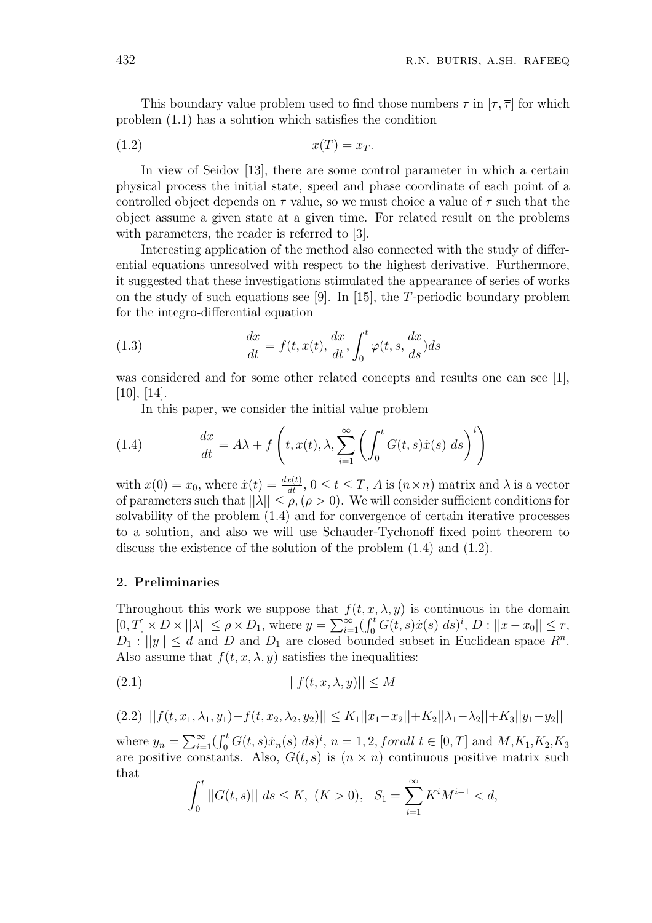This boundary value problem used to find those numbers  $\tau$  in  $[\tau, \bar{\tau}]$  for which problem (1.1) has a solution which satisfies the condition

$$
(1.2) \t\t x(T) = x_T.
$$

In view of Seidov [13], there are some control parameter in which a certain physical process the initial state, speed and phase coordinate of each point of a controlled object depends on *τ* value, so we must choice a value of *τ* such that the object assume a given state at a given time. For related result on the problems with parameters, the reader is referred to [3].

Interesting application of the method also connected with the study of differential equations unresolved with respect to the highest derivative. Furthermore, it suggested that these investigations stimulated the appearance of series of works on the study of such equations see [9]. In [15], the *T*-periodic boundary problem for the integro-differential equation

(1.3) 
$$
\frac{dx}{dt} = f(t, x(t), \frac{dx}{dt}, \int_0^t \varphi(t, s, \frac{dx}{ds}) ds
$$

was considered and for some other related concepts and results one can see [1],  $[10], [14].$ 

In this paper, we consider the initial value problem

(1.4) 
$$
\frac{dx}{dt} = A\lambda + f\left(t, x(t), \lambda, \sum_{i=1}^{\infty} \left(\int_0^t G(t, s) \dot{x}(s) \ ds\right)^i\right)
$$

with  $x(0) = x_0$ , where  $\dot{x}(t) = \frac{dx(t)}{dt}$ ,  $0 \le t \le T$ , *A* is  $(n \times n)$  matrix and  $\lambda$  is a vector of parameters such that  $||\lambda|| \leq \rho$ ,  $(\rho > 0)$ . We will consider sufficient conditions for solvability of the problem (1.4) and for convergence of certain iterative processes to a solution, and also we will use Schauder-Tychonoff fixed point theorem to discuss the existence of the solution of the problem (1.4) and (1.2).

### **2. Preliminaries**

Throughout this work we suppose that  $f(t, x, \lambda, y)$  is continuous in the domain  $[0, T] \times D \times ||\lambda|| \le \rho \times D_1$ , where  $y = \sum_{i=1}^{\infty} (\int_0^t G(t, s) \dot{x}(s) ds)^i$ ,  $D : ||x - x_0|| \le r$ ,  $D_1: ||y|| \leq d$  and *D* and  $D_1$  are closed bounded subset in Euclidean space  $R^n$ . Also assume that  $f(t, x, \lambda, y)$  satisfies the inequalities:

$$
||f(t, x, \lambda, y)|| \le M
$$

$$
(2.2) \quad ||f(t, x_1, \lambda_1, y_1) - f(t, x_2, \lambda_2, y_2)|| \le K_1 ||x_1 - x_2|| + K_2 ||\lambda_1 - \lambda_2|| + K_3 ||y_1 - y_2||
$$

where  $y_n = \sum_{i=1}^{\infty} (\int_0^t G(t, s) \dot{x}_n(s) ds)^i$ ,  $n = 1, 2$ , forall  $t \in [0, T]$  and  $M, K_1, K_2, K_3$ are positive constants. Also,  $G(t, s)$  is  $(n \times n)$  continuous positive matrix such that

$$
\int_0^t ||G(t,s)|| \ ds \le K, \ (K > 0), \ \ S_1 = \sum_{i=1}^\infty K^i M^{i-1} < d,
$$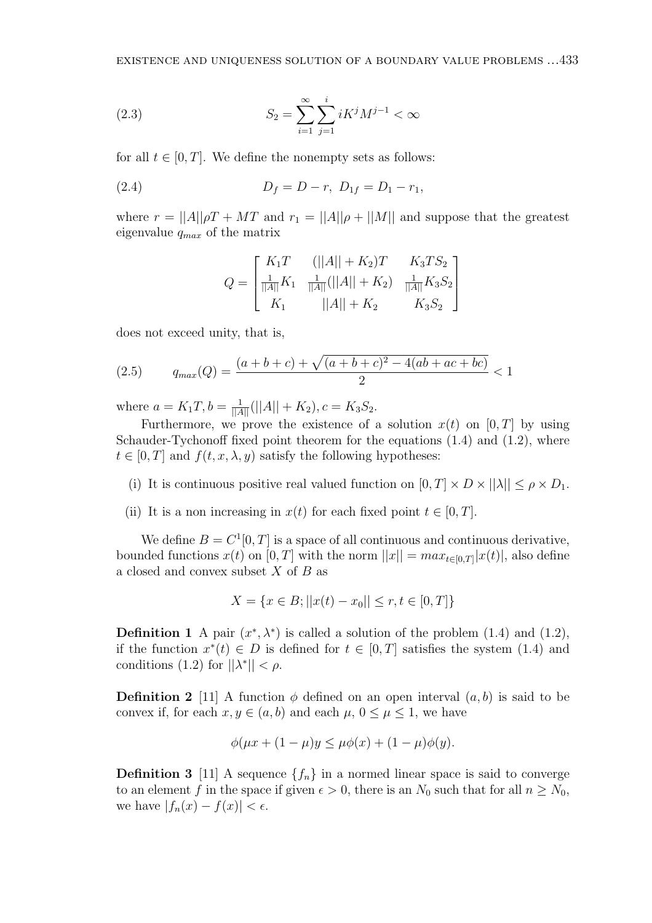(2.3) 
$$
S_2 = \sum_{i=1}^{\infty} \sum_{j=1}^{i} i K^j M^{j-1} < \infty
$$

for all  $t \in [0, T]$ . We define the nonempty sets as follows:

(2.4) 
$$
D_f = D - r, D_{1f} = D_1 - r_1,
$$

where  $r = ||A||\rho T + MT$  and  $r_1 = ||A||\rho + ||M||$  and suppose that the greatest eigenvalue *qmax* of the matrix

$$
Q = \begin{bmatrix} K_1 T & (||A|| + K_2)T & K_3 TS_2 \\ \frac{1}{||A||} K_1 & \frac{1}{||A||} (||A|| + K_2) & \frac{1}{||A||} K_3 S_2 \\ K_1 & ||A|| + K_2 & K_3 S_2 \end{bmatrix}
$$

does not exceed unity, that is,

(2.5) 
$$
q_{max}(Q) = \frac{(a+b+c) + \sqrt{(a+b+c)^2 - 4(ab+ac+bc)}}{2} < 1
$$

where  $a = K_1 T$ ,  $b = \frac{1}{\|A\|} (\|A\| + K_2)$ ,  $c = K_3 S_2$ .

Furthermore, we prove the existence of a solution  $x(t)$  on  $[0, T]$  by using Schauder-Tychonoff fixed point theorem for the equations (1.4) and (1.2), where  $t \in [0, T]$  and  $f(t, x, \lambda, y)$  satisfy the following hypotheses:

- (i) It is continuous positive real valued function on  $[0, T] \times D \times ||\lambda|| \leq \rho \times D_1$ .
- (ii) It is a non increasing in  $x(t)$  for each fixed point  $t \in [0, T]$ .

We define  $B = C^1[0, T]$  is a space of all continuous and continuous derivative, bounded functions  $x(t)$  on  $[0, T]$  with the norm  $||x|| = max_{t \in [0, T]} |x(t)|$ , also define a closed and convex subset *X* of *B* as

$$
X = \{x \in B; ||x(t) - x_0|| \le r, t \in [0, T]\}
$$

**Definition 1** A pair  $(x^*, \lambda^*)$  is called a solution of the problem (1.4) and (1.2), if the function  $x^*(t) \in D$  is defined for  $t \in [0, T]$  satisfies the system (1.4) and conditions  $(1.2)$  for  $||\lambda^*|| < \rho$ .

**Definition 2** [11] A function  $\phi$  defined on an open interval  $(a, b)$  is said to be convex if, for each  $x, y \in (a, b)$  and each  $\mu$ ,  $0 \leq \mu \leq 1$ , we have

$$
\phi(\mu x + (1 - \mu)y \le \mu \phi(x) + (1 - \mu)\phi(y).
$$

**Definition 3** [11] A sequence  $\{f_n\}$  in a normed linear space is said to converge to an element *f* in the space if given  $\epsilon > 0$ , there is an  $N_0$  such that for all  $n \ge N_0$ , we have  $|f_n(x) - f(x)| < \epsilon$ .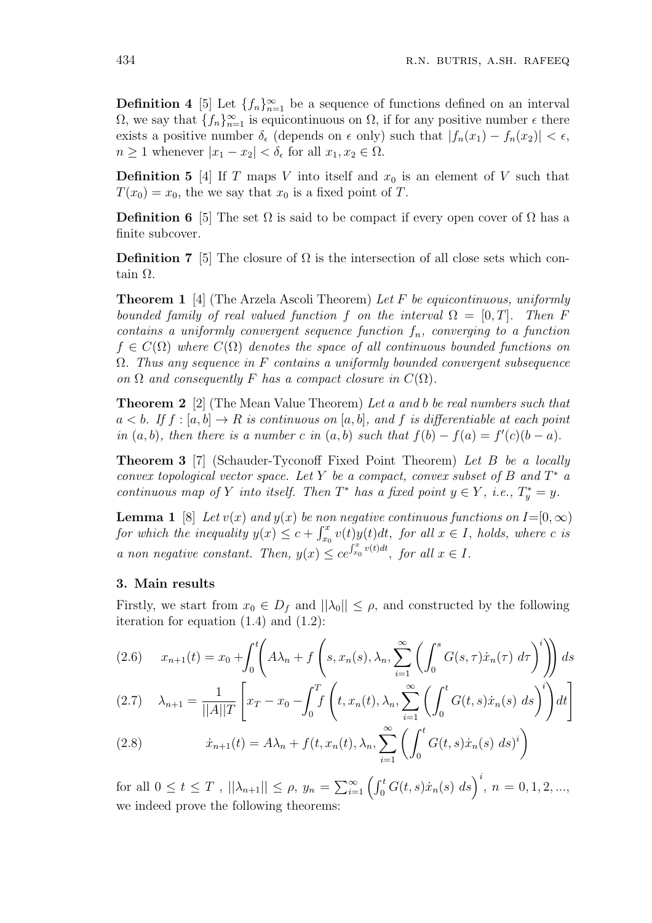**Definition 4** [5] Let  $\{f_n\}_{n=1}^{\infty}$  be a sequence of functions defined on an interval  $\Omega$ , we say that  $\{f_n\}_{n=1}^{\infty}$  is equicontinuous on  $\Omega$ , if for any positive number  $\epsilon$  there exists a positive number  $\delta_{\epsilon}$  (depends on  $\epsilon$  only) such that  $|f_n(x_1) - f_n(x_2)| < \epsilon$ ,  $n \geq 1$  whenever  $|x_1 - x_2| < \delta_{\epsilon}$  for all  $x_1, x_2 \in \Omega$ .

**Definition 5** [4] If *T* maps *V* into itself and  $x_0$  is an element of *V* such that  $T(x_0) = x_0$ , the we say that  $x_0$  is a fixed point of *T*.

**Definition 6** [5] The set  $\Omega$  is said to be compact if every open cover of  $\Omega$  has a finite subcover.

**Definition 7** [5] The closure of  $\Omega$  is the intersection of all close sets which contain Ω.

**Theorem 1** [4] (The Arzela Ascoli Theorem) *Let F be equicontinuous, uniformly bounded family of real valued function f on the interval*  $\Omega = [0, T]$ *. Then F contains a uniformly convergent sequence function fn, converging to a function*  $f \in C(\Omega)$  where  $C(\Omega)$  *denotes the space of all continuous bounded functions on* Ω*. Thus any sequence in F contains a uniformly bounded convergent subsequence on*  $\Omega$  *and consequently F has a compact closure in*  $C(\Omega)$ *.* 

**Theorem 2** [2] (The Mean Value Theorem) *Let a and b be real numbers such that*  $a < b$ *. If*  $f : [a, b] \to R$  *is continuous on* [a, b]*, and*  $f$  *is differentiable at each point in*  $(a, b)$ *, then there is a number c in*  $(a, b)$  *such that*  $f(b) - f(a) = f'(c)(b - a)$ *.* 

**Theorem 3** [7] (Schauder-Tyconoff Fixed Point Theorem) *Let B be a locally convex topological vector space. Let Y be a compact, convex subset of B and T <sup>∗</sup> a continuous map of Y into itself.* Then  $T^*$  *has a fixed point*  $y \in Y$ *, i.e.,*  $T_y^* = y$ *.* 

**Lemma 1** [8] *Let*  $v(x)$  *and*  $y(x)$  *be non negative continuous functions on*  $I = [0, \infty)$ *for which the inequality*  $y(x) \leq c + \int_{x_0}^x v(t)y(t)dt$ , for all  $x \in I$ , holds, where *c is a non negative constant. Then,*  $y(x) \le ce^{\int_{x_0}^x v(t)dt}$ , for all  $x \in I$ .

## **3. Main results**

Firstly, we start from  $x_0 \in D_f$  and  $||\lambda_0|| \leq \rho$ , and constructed by the following iteration for equation  $(1.4)$  and  $(1.2)$ :

$$
(2.6) \t x_{n+1}(t) = x_0 + \int_0^t \left( A\lambda_n + f\left(s, x_n(s), \lambda_n, \sum_{i=1}^\infty \left( \int_0^s G(s, \tau) \dot{x}_n(\tau) \, d\tau \right)^i \right) \right) ds
$$

$$
(2.7) \quad \lambda_{n+1} = \frac{1}{||A||T} \left[ x_T - x_0 - \int_0^T f\left(t, x_n(t), \lambda_n, \sum_{i=1}^\infty \left( \int_0^t G(t, s) \dot{x}_n(s) \, ds \right)^i \right) dt \right]
$$

(2.8) 
$$
\dot{x}_{n+1}(t) = A\lambda_n + f(t, x_n(t), \lambda_n, \sum_{i=1}^{\infty} \left( \int_0^t G(t, s) \dot{x}_n(s) \ ds \right)^i
$$

for all  $0 \le t \le T$ ,  $||\lambda_{n+1}|| \le \rho$ ,  $y_n = \sum_{i=1}^{\infty} \left( \int_0^t G(t,s)\dot{x}_n(s) \, ds \right)^i$ ,  $n = 0, 1, 2, ...,$ we indeed prove the following theorems: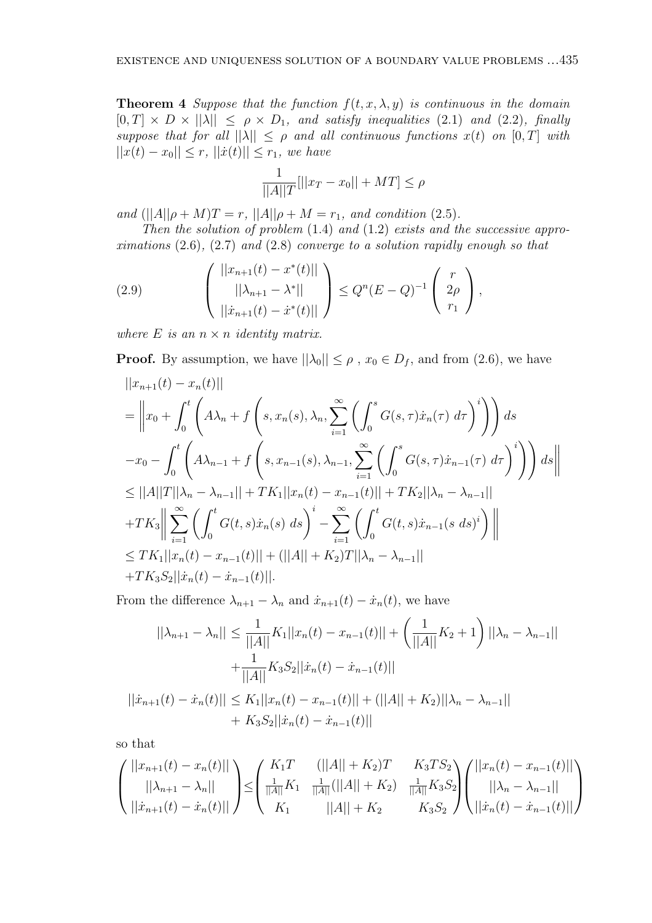**Theorem 4** *Suppose that the function*  $f(t, x, \lambda, y)$  *is continuous in the domain*  $[0, T] \times D \times ||\lambda|| \leq \rho \times D_1$ , and satisfy inequalities (2.1) and (2.2), finally *suppose that for all*  $||\lambda|| \leq \rho$  *and all continuous functions*  $x(t)$  *on*  $[0, T]$  *with ||<i>x*</sup>(*t*) − *x*<sub>0</sub>|| ≤ *r*, *||<i>x*(*t*)|| ≤ *r*<sub>1</sub>*, we have* 

$$
\frac{1}{||A||T}[||x_T - x_0|| + MT] \le \rho
$$

*and*  $(||A||\rho + M)T = r$ ,  $||A||\rho + M = r_1$ , and condition (2.5).

*Then the solution of problem* (1*.*4) *and* (1*.*2) *exists and the successive approximations* (2*.*6)*,* (2*.*7) *and* (2*.*8) *converge to a solution rapidly enough so that*

(2.9) 
$$
\begin{pmatrix} ||x_{n+1}(t) - x^*(t)|| \\ ||\lambda_{n+1} - \lambda^*|| \\ ||\dot{x}_{n+1}(t) - \dot{x}^*(t)|| \end{pmatrix} \le Q^n (E - Q)^{-1} \begin{pmatrix} r \\ 2\rho \\ r_1 \end{pmatrix},
$$

*where*  $E$  *is an*  $n \times n$  *identity matrix.* 

**Proof.** By assumption, we have  $||\lambda_0|| \leq \rho$ ,  $x_0 \in D_f$ , and from (2.6), we have

$$
||x_{n+1}(t) - x_n(t)||
$$
  
\n
$$
= ||x_0 + \int_0^t \left( A\lambda_n + f\left(s, x_n(s), \lambda_n, \sum_{i=1}^{\infty} \left( \int_0^s G(s, \tau) \dot{x}_n(\tau) d\tau \right)^i \right) ds \right. \n-x_0 - \int_0^t \left( A\lambda_{n-1} + f\left(s, x_{n-1}(s), \lambda_{n-1}, \sum_{i=1}^{\infty} \left( \int_0^s G(s, \tau) \dot{x}_{n-1}(\tau) d\tau \right)^i \right) ds \right||
$$
  
\n
$$
\leq ||A||T||\lambda_n - \lambda_{n-1}|| + TK_1||x_n(t) - x_{n-1}(t)|| + TK_2||\lambda_n - \lambda_{n-1}||
$$
  
\n
$$
+ TK_3 \Big\| \sum_{i=1}^{\infty} \left( \int_0^t G(t, s) \dot{x}_n(s) ds \right)^i - \sum_{i=1}^{\infty} \left( \int_0^t G(t, s) \dot{x}_{n-1}(s ds)^i \right) \Big\|
$$
  
\n
$$
\leq TK_1||x_n(t) - x_{n-1}(t)|| + (||A|| + K_2)T||\lambda_n - \lambda_{n-1}||
$$
  
\n
$$
+ TK_3S_2||\dot{x}_n(t) - \dot{x}_{n-1}(t)||.
$$

From the difference  $\lambda_{n+1} - \lambda_n$  and  $\dot{x}_{n+1}(t) - \dot{x}_n(t)$ , we have

$$
||\lambda_{n+1} - \lambda_n|| \le \frac{1}{||A||} K_1 ||x_n(t) - x_{n-1}(t)|| + \left(\frac{1}{||A||} K_2 + 1\right) ||\lambda_n - \lambda_{n-1}||
$$
  
+ 
$$
\frac{1}{||A||} K_3 S_2 ||\dot{x}_n(t) - \dot{x}_{n-1}(t)||
$$
  

$$
||\dot{x}_{n+1}(t) - \dot{x}_n(t)|| \le K_1 ||x_n(t) - x_{n-1}(t)|| + (||A|| + K_2)||\lambda_n - \lambda_{n-1}||
$$
  
+ 
$$
K_3 S_2 ||\dot{x}_n(t) - \dot{x}_{n-1}(t)||
$$

so that

$$
\begin{pmatrix} ||x_{n+1}(t) - x_n(t)|| \\ ||\lambda_{n+1} - \lambda_n|| \\ ||\dot{x}_{n+1}(t) - \dot{x}_n(t)|| \end{pmatrix} \leq \begin{pmatrix} K_1 T & (||A|| + K_2)T & K_3 TS_2 \\ \frac{1}{||A||}K_1 & \frac{1}{||A||}(||A|| + K_2) & \frac{1}{||A||}K_3 S_2 \\ K_1 & ||A|| + K_2 & K_3 S_2 \end{pmatrix} \begin{pmatrix} ||x_n(t) - x_{n-1}(t)|| \\ ||\lambda_n - \lambda_{n-1}|| \\ ||\dot{x}_n(t) - \dot{x}_{n-1}(t)|| \end{pmatrix}
$$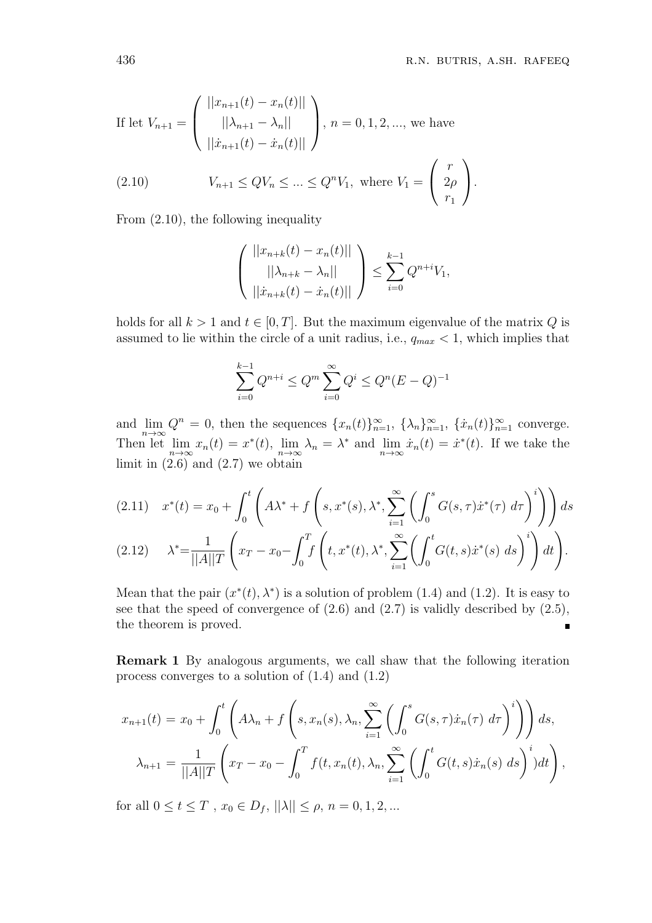If let 
$$
V_{n+1} = \begin{pmatrix} ||x_{n+1}(t) - x_n(t)|| \\ ||\lambda_{n+1} - \lambda_n|| \\ ||\dot{x}_{n+1}(t) - \dot{x}_n(t)|| \end{pmatrix}
$$
,  $n = 0, 1, 2, ...$ , we have  
\n(2.10)  $V_{n+1} \le QV_n \le ... \le Q^nV_1$ , where  $V_1 = \begin{pmatrix} r \\ 2\rho \\ r_1 \end{pmatrix}$ .

From (2*.*10), the following inequality

$$
\begin{pmatrix} ||x_{n+k}(t) - x_n(t)|| \\ ||\lambda_{n+k} - \lambda_n|| \\ ||\dot{x}_{n+k}(t) - \dot{x}_n(t)|| \end{pmatrix} \le \sum_{i=0}^{k-1} Q^{n+i} V_1,
$$

holds for all  $k > 1$  and  $t \in [0, T]$ . But the maximum eigenvalue of the matrix  $Q$  is assumed to lie within the circle of a unit radius, i.e.,  $q_{max} < 1$ , which implies that

$$
\sum_{i=0}^{k-1} Q^{n+i} \le Q^m \sum_{i=0}^{\infty} Q^i \le Q^n (E - Q)^{-1}
$$

and  $\lim_{n\to\infty} Q^n = 0$ , then the sequences  $\{x_n(t)\}_{n=1}^{\infty}$ ,  $\{\lambda_n\}_{n=1}^{\infty}$ ,  $\{\dot{x}_n(t)\}_{n=1}^{\infty}$  converge. Then let  $\lim_{n \to \infty} x_n(t) = x^*(t)$ ,  $\lim_{n \to \infty} \lambda_n = \lambda^*$  and  $\lim_{n \to \infty} \dot{x}_n(t) = \dot{x}^*(t)$ . If we take the limit in (2*.*6) and (2*.*7) we obtain

$$
(2.11) \t x^*(t) = x_0 + \int_0^t \left( A\lambda^* + f\left(s, x^*(s), \lambda^*, \sum_{i=1}^\infty \left( \int_0^s G(s, \tau) \dot{x}^*(\tau) d\tau \right)^i \right) \right) ds
$$
  

$$
(2.12) \t \lambda^* = \frac{1}{||A||T} \left( x_T - x_0 - \int_0^T f\left(t, x^*(t), \lambda^*, \sum_{i=1}^\infty \left( \int_0^t G(t, s) \dot{x}^*(s) ds \right)^i \right) dt \right).
$$

Mean that the pair  $(x^*(t), \lambda^*)$  is a solution of problem (1.4) and (1.2). It is easy to see that the speed of convergence of (2*.*6) and (2*.*7) is validly described by (2*.*5), the theorem is proved. π

**Remark 1** By analogous arguments, we call shaw that the following iteration process converges to a solution of (1*.*4) and (1*.*2)

$$
x_{n+1}(t) = x_0 + \int_0^t \left( A\lambda_n + f\left(s, x_n(s), \lambda_n, \sum_{i=1}^\infty \left( \int_0^s G(s, \tau) \dot{x}_n(\tau) \, d\tau \right)^i \right) \right) ds,
$$
  

$$
\lambda_{n+1} = \frac{1}{||A||T} \left( x_T - x_0 - \int_0^T f(t, x_n(t), \lambda_n, \sum_{i=1}^\infty \left( \int_0^t G(t, s) \dot{x}_n(s) \, ds \right)^i) dt \right),
$$

for all  $0 \le t \le T$ ,  $x_0 \in D_f$ ,  $||\lambda|| \le \rho$ ,  $n = 0, 1, 2, ...$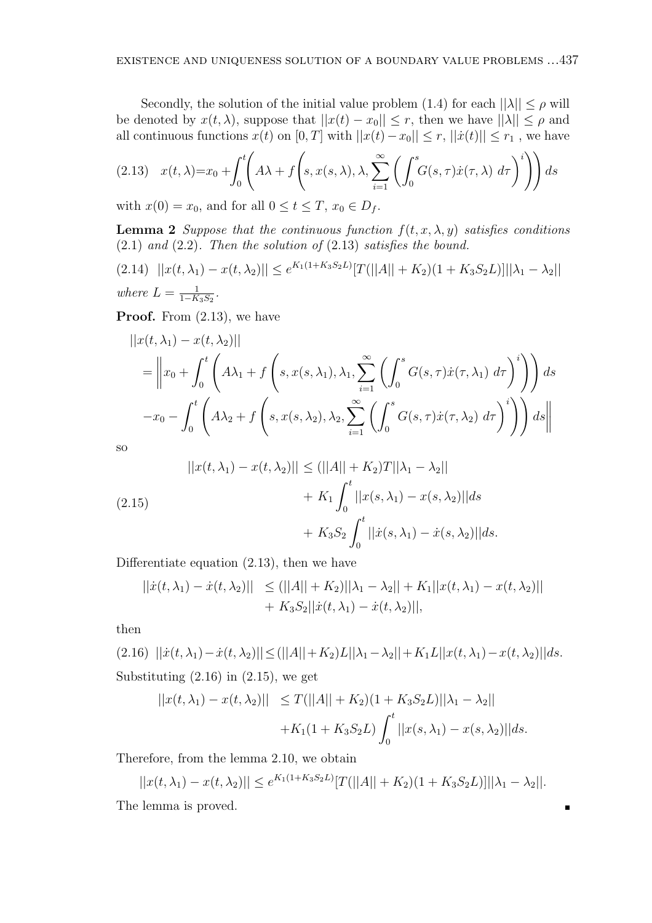Secondly, the solution of the initial value problem (1.4) for each  $||\lambda|| \leq \rho$  will be denoted by  $x(t, \lambda)$ , suppose that  $||x(t) - x_0|| \leq r$ , then we have  $||\lambda|| \leq \rho$  and all continuous functions  $x(t)$  on  $[0, T]$  with  $||x(t) - x_0|| \leq r$ ,  $||\dot{x}(t)|| \leq r_1$ , we have

$$
(2.13) \quad x(t,\lambda) = x_0 + \int_0^t \left( A\lambda + f\left(s, x(s,\lambda), \lambda, \sum_{i=1}^\infty \left( \int_0^s G(s,\tau) \dot{x}(\tau,\lambda) \, d\tau \right)^i \right) \right) ds
$$

with  $x(0) = x_0$ , and for all  $0 \le t \le T$ ,  $x_0 \in D_f$ .

**Lemma 2** *Suppose that the continuous function*  $f(t, x, \lambda, y)$  *satisfies conditions* (2*.*1) *and* (2*.*2)*. Then the solution of* (2*.*13) *satisfies the bound.*

$$
(2.14) \quad ||x(t, \lambda_1) - x(t, \lambda_2)|| \le e^{K_1(1 + K_3 S_2 L)} [T(||A|| + K_2)(1 + K_3 S_2 L)] ||\lambda_1 - \lambda_2||
$$
  
where  $L = \frac{1}{1 - K_3 S_2}$ .

**Proof.** From (2*.*13), we have

$$
||x(t, \lambda_1) - x(t, \lambda_2)||
$$
  
=  $\left||x_0 + \int_0^t \left(A\lambda_1 + f\left(s, x(s, \lambda_1), \lambda_1, \sum_{i=1}^\infty \left(\int_0^s G(s, \tau) \dot{x}(\tau, \lambda_1) d\tau\right)^i\right)\right) ds$   

$$
-x_0 - \int_0^t \left(A\lambda_2 + f\left(s, x(s, \lambda_2), \lambda_2, \sum_{i=1}^\infty \left(\int_0^s G(s, \tau) \dot{x}(\tau, \lambda_2) d\tau\right)^i\right)\right) ds\right||
$$

so

(2.15)  
\n
$$
||x(t, \lambda_1) - x(t, \lambda_2)|| \le (||A|| + K_2)T||\lambda_1 - \lambda_2||
$$
\n
$$
+ K_1 \int_0^t ||x(s, \lambda_1) - x(s, \lambda_2)||ds
$$
\n
$$
+ K_3 S_2 \int_0^t ||\dot{x}(s, \lambda_1) - \dot{x}(s, \lambda_2)||ds.
$$

Differentiate equation (2*.*13), then we have

$$
||\dot{x}(t, \lambda_1) - \dot{x}(t, \lambda_2)|| \le (||A|| + K_2)||\lambda_1 - \lambda_2|| + K_1||x(t, \lambda_1) - x(t, \lambda_2)|| + K_3S_2||\dot{x}(t, \lambda_1) - \dot{x}(t, \lambda_2)||,
$$

then

 $(2.16)$   $||\dot{x}(t,\lambda_1)-\dot{x}(t,\lambda_2)|| \leq (||A||+K_2)L||\lambda_1-\lambda_2||+K_1L||x(t,\lambda_1)-x(t,\lambda_2)||ds.$ Substituting (2*.*16) in (2*.*15), we get

$$
||x(t, \lambda_1) - x(t, \lambda_2)|| \le T(||A|| + K_2)(1 + K_3 S_2 L) ||\lambda_1 - \lambda_2||
$$
  
+K<sub>1</sub>(1 + K<sub>3</sub>S<sub>2</sub>L)  $\int_0^t ||x(s, \lambda_1) - x(s, \lambda_2)||ds$ .

Therefore, from the lemma 2.10, we obtain

$$
||x(t, \lambda_1) - x(t, \lambda_2)|| \le e^{K_1(1 + K_3 S_2 L)} [T(||A|| + K_2)(1 + K_3 S_2 L)] ||\lambda_1 - \lambda_2||.
$$

 $\blacksquare$ 

The lemma is proved.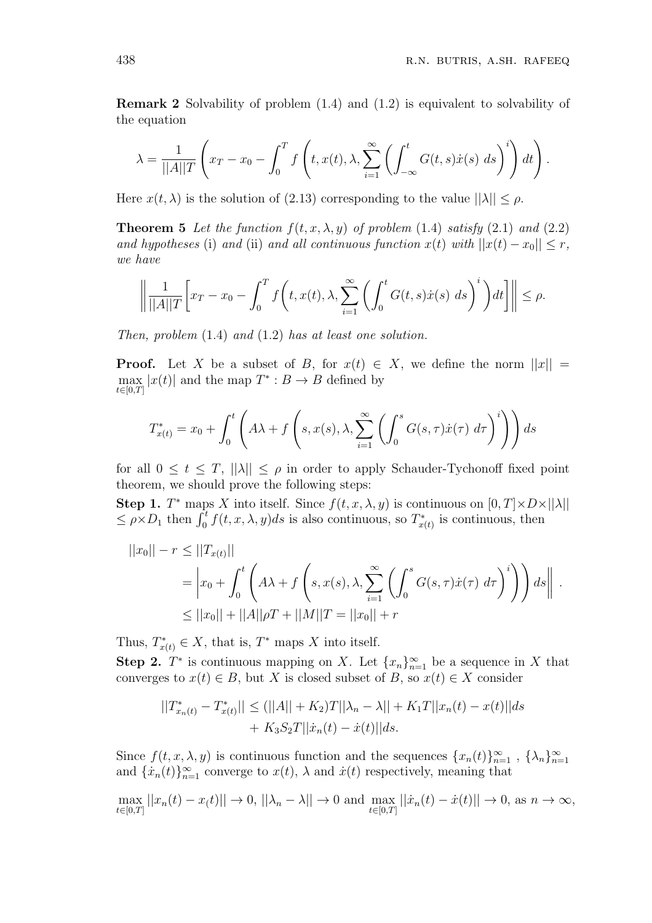**Remark 2** Solvability of problem (1*.*4) and (1*.*2) is equivalent to solvability of the equation

$$
\lambda = \frac{1}{||A||T} \left( x_T - x_0 - \int_0^T f\left(t, x(t), \lambda, \sum_{i=1}^{\infty} \left(\int_{-\infty}^t G(t, s) \dot{x}(s) \ ds\right)^i \right) dt \right).
$$

Here  $x(t, \lambda)$  is the solution of (2.13) corresponding to the value  $||\lambda|| < \rho$ .

**Theorem 5** Let the function  $f(t, x, \lambda, y)$  of problem (1.4) satisfy (2.1) and (2.2) *and hypotheses* (i) *and* (ii) *and all continuous function*  $x(t)$  *with*  $||x(t) - x_0|| \leq r$ , *we have*

$$
\left\| \frac{1}{||A||T} \left[ x_T - x_0 - \int_0^T f\left(t, x(t), \lambda, \sum_{i=1}^{\infty} \left( \int_0^t G(t, s) \dot{x}(s) \ ds\right)^i \right) dt \right] \right\| \le \rho.
$$

*Then, problem* (1*.*4) *and* (1*.*2) *has at least one solution.*

**Proof.** Let *X* be a subset of *B*, for  $x(t) \in X$ , we define the norm  $||x|| =$ max *t∈*[0*,T*]  $|x(t)|$  and the map  $T^*$  :  $B \to B$  defined by

$$
T_{x(t)}^* = x_0 + \int_0^t \left( A\lambda + f\left(s, x(s), \lambda, \sum_{i=1}^\infty \left( \int_0^s G(s, \tau) \dot{x}(\tau) \, d\tau \right)^i \right) \right) ds
$$

for all  $0 \le t \le T$ ,  $||\lambda|| \le \rho$  in order to apply Schauder-Tychonoff fixed point theorem, we should prove the following steps:

**Step 1.** *T*<sup>\*</sup> maps *X* into itself. Since  $f(t, x, \lambda, y)$  is continuous on  $[0, T] \times D \times ||\lambda||$  $\leq \rho \times D_1$  then  $\int_0^t f(t, x, \lambda, y) ds$  is also continuous, so  $T^*_{x(t)}$  is continuous, then

$$
||x_0|| - r \le ||T_{x(t)}||
$$
  
=  $\left| x_0 + \int_0^t \left( A\lambda + f\left(s, x(s), \lambda, \sum_{i=1}^\infty \left( \int_0^s G(s, \tau) \dot{x}(\tau) d\tau \right)^i \right) \right) ds \right\|$ .  

$$
\le ||x_0|| + ||A||\rho T + ||M||T = ||x_0|| + r
$$

Thus,  $T^*_{x(t)} \in X$ , that is,  $T^*$  maps  $X$  into itself.

**Step 2.**  $T^*$  is continuous mapping on *X*. Let  $\{x_n\}_{n=1}^{\infty}$  be a sequence in *X* that converges to  $x(t) \in B$ , but *X* is closed subset of *B*, so  $x(t) \in X$  consider

$$
||T_{x_n(t)}^* - T_{x(t)}^*|| \le (||A|| + K_2)T||\lambda_n - \lambda|| + K_1T||x_n(t) - x(t)||ds
$$
  
+  $K_3S_2T||\dot{x}_n(t) - \dot{x}(t)||ds.$ 

Since  $f(t, x, \lambda, y)$  is continuous function and the sequences  $\{x_n(t)\}_{n=1}^{\infty}$ ,  $\{\lambda_n\}_{n=1}^{\infty}$ and  $\{x_n(t)\}_{n=1}^{\infty}$  converge to  $x(t)$ ,  $\lambda$  and  $\dot{x}(t)$  respectively, meaning that

$$
\max_{t \in [0,T]} ||x_n(t) - x(t)|| \to 0, ||\lambda_n - \lambda|| \to 0 \text{ and } \max_{t \in [0,T]} ||\dot{x}_n(t) - \dot{x}(t)|| \to 0, \text{ as } n \to \infty,
$$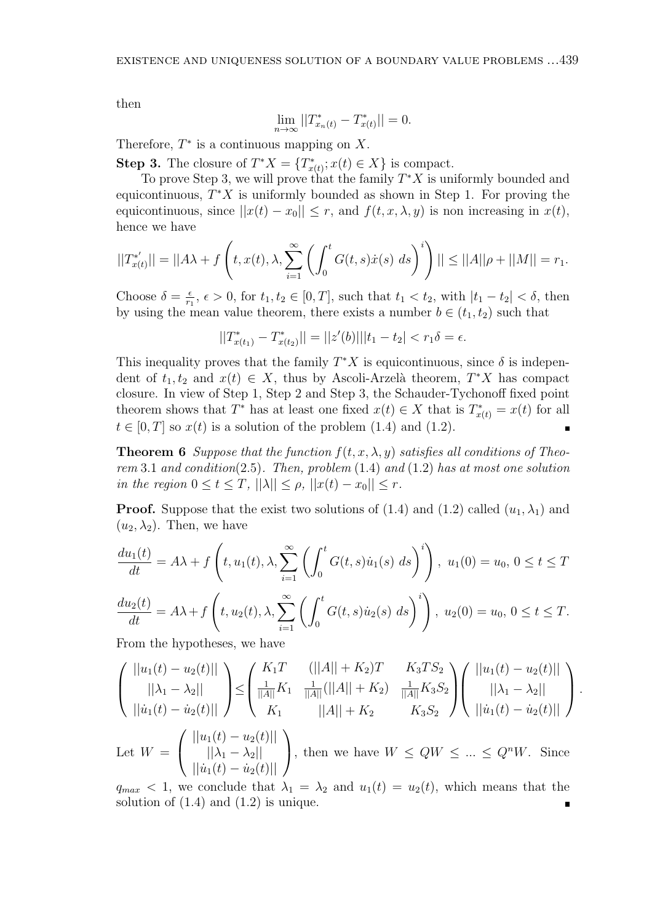then

$$
\lim_{n \to \infty} ||T_{x_n(t)}^* - T_{x(t)}^*|| = 0.
$$

Therefore,  $T^*$  is a continuous mapping on  $X$ .

**Step 3.** The closure of  $T^*X = \{T^*_{x(t)}; x(t) \in X\}$  is compact.

To prove Step 3, we will prove that the family *T <sup>∗</sup>X* is uniformly bounded and equicontinuous, *T <sup>∗</sup>X* is uniformly bounded as shown in Step 1. For proving the equicontinuous, since  $||x(t) - x_0|| \leq r$ , and  $f(t, x, \lambda, y)$  is non increasing in  $x(t)$ , hence we have

$$
||T_{x(t)}^{*}|| = ||A\lambda + f\left(t, x(t), \lambda, \sum_{i=1}^{\infty} \left(\int_0^t G(t, s) \dot{x}(s) \, ds\right)^i\right)|| \le ||A||\rho + ||M|| = r_1.
$$

Choose  $\delta = \frac{\epsilon}{r_1}$  $\frac{\epsilon}{r_1}$ ,  $\epsilon$  > 0, for  $t_1, t_2 \in [0, T]$ , such that  $t_1 < t_2$ , with  $|t_1 - t_2| < \delta$ , then by using the mean value theorem, there exists a number  $b \in (t_1, t_2)$  such that

$$
||T_{x(t_1)}^* - T_{x(t_2)}^*|| = ||z'(b)|| |t_1 - t_2| < r_1 \delta = \epsilon.
$$

This inequality proves that the family  $T^*X$  is equicontinuous, since  $\delta$  is independent of  $t_1, t_2$  and  $x(t) \in X$ , thus by Ascoli-Arzelà theorem,  $T^*X$  has compact closure. In view of Step 1, Step 2 and Step 3, the Schauder-Tychonoff fixed point theorem shows that  $T^*$  has at least one fixed  $x(t) \in X$  that is  $T^*_{x(t)} = x(t)$  for all  $t \in [0, T]$  so  $x(t)$  is a solution of the problem  $(1.4)$  and  $(1.2)$ .

**Theorem 6** *Suppose that the function*  $f(t, x, \lambda, y)$  *satisfies all conditions of Theorem* 3*.*1 *and condition*(2*.*5)*. Then, problem* (1*.*4) *and* (1*.*2) *has at most one solution in the region*  $0 \le t \le T$ ,  $||\lambda|| \le \rho$ ,  $||x(t) - x_0|| \le r$ .

**Proof.** Suppose that the exist two solutions of (1.4) and (1.2) called  $(u_1, \lambda_1)$  and  $(u_2, \lambda_2)$ . Then, we have

$$
\frac{du_1(t)}{dt} = A\lambda + f\left(t, u_1(t), \lambda, \sum_{i=1}^{\infty} \left(\int_0^t G(t, s) \dot{u}_1(s) \, ds\right)^i\right), \ u_1(0) = u_0, \ 0 \le t \le T
$$
\n
$$
\frac{du_2(t)}{dt} = A\lambda + f\left(t, u_2(t), \lambda, \sum_{i=1}^{\infty} \left(\int_0^t G(t, s) \dot{u}_2(s) \, ds\right)^i\right), \ u_2(0) = u_0, \ 0 \le t \le T.
$$
\nFrom the hand, here, we have

From the hypotheses, we have

$$
\begin{pmatrix} ||u_1(t) - u_2(t)|| \\ ||\lambda_1 - \lambda_2|| \\ ||u_1(t) - u_2(t)|| \end{pmatrix} \leq \begin{pmatrix} K_1T & (||A|| + K_2)T & K_3TS_2 \\ \frac{1}{||A||}K_1 & \frac{1}{||A||}(||A|| + K_2) & \frac{1}{||A||}K_3S_2 \\ K_1 & ||A|| + K_2 & K_3S_2 \end{pmatrix} \begin{pmatrix} ||u_1(t) - u_2(t)|| \\ ||\lambda_1 - \lambda_2|| \\ ||u_1(t) - u_2(t)|| \end{pmatrix}.
$$

Let  $W =$  $\sqrt{ }$  $\mathcal{L}$ *||u*1(*t*) *− u*2(*t*)*||*  $||\lambda_1 - \lambda_2||$  $||\dot{u}_1(t) - \dot{u}_2(t)||$  $\setminus$ , then we have  $W \le QW \le ... \le Q^nW$ . Since

 $q_{max}$  < 1, we conclude that  $\lambda_1 = \lambda_2$  and  $u_1(t) = u_2(t)$ , which means that the solution of  $(1.4)$  and  $(1.2)$  is unique.